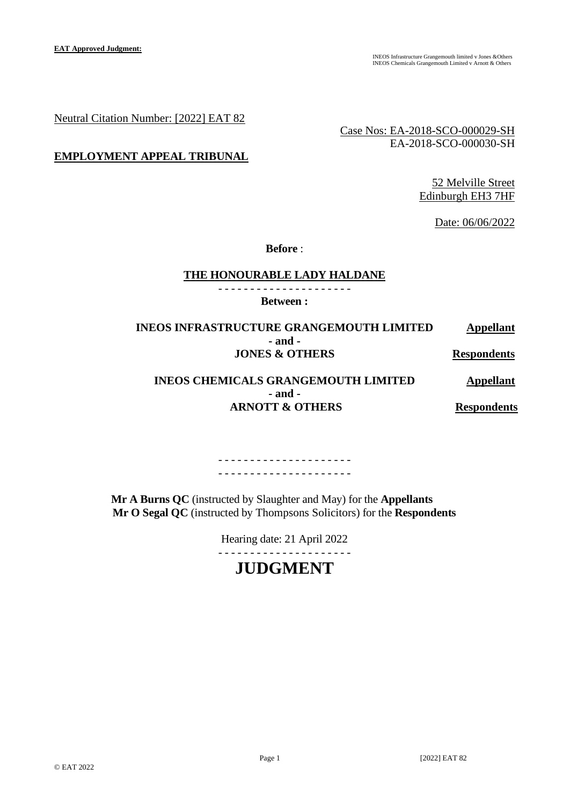Neutral Citation Number: [2022] EAT 82

Case Nos: EA-2018-SCO-000029-SH EA-2018-SCO-000030-SH

## **EMPLOYMENT APPEAL TRIBUNAL**

52 Melville Street Edinburgh EH3 7HF

Date: 06/06/2022

**Before** :

#### **THE HONOURABLE LADY HALDANE**

- - - - - - - - - - - - - - - - - - - - - **Between :**

**INEOS INFRASTRUCTURE GRANGEMOUTH LIMITED Appellant - and - JONES & OTHERS Respondents** 

## **INEOS CHEMICALS GRANGEMOUTH LIMITED Appellant - and - ARNOTT & OTHERS Respondents**

- - - - - - - - - - - - - - - - - - - - - - - - - - - - - - - - - - - - - - - - - -

 **Mr A Burns QC** (instructed by Slaughter and May) for the **Appellants Mr O Segal QC** (instructed by Thompsons Solicitors) for the **Respondents**

Hearing date: 21 April 2022

## - - - - - - - - - - - - - - - - - - - - -

# **JUDGMENT**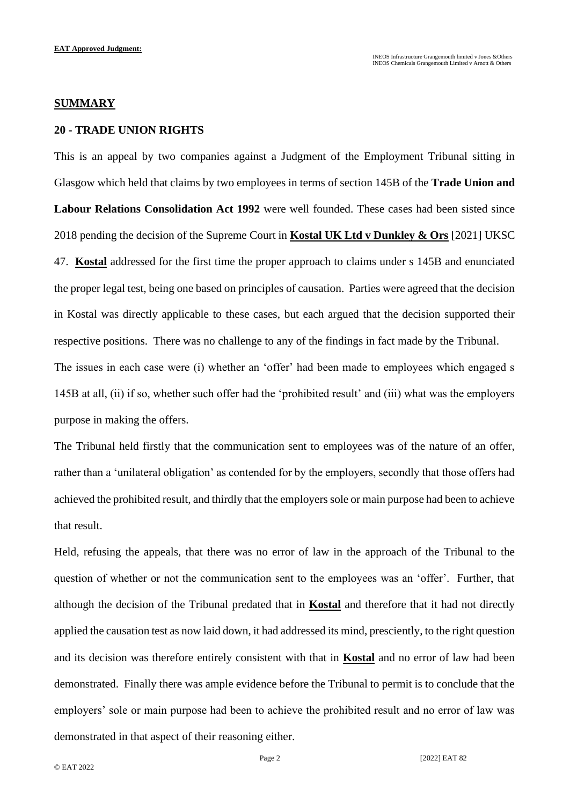#### **SUMMARY**

## **20 - TRADE UNION RIGHTS**

This is an appeal by two companies against a Judgment of the Employment Tribunal sitting in Glasgow which held that claims by two employees in terms of section 145B of the **Trade Union and Labour Relations Consolidation Act 1992** were well founded. These cases had been sisted since 2018 pending the decision of the Supreme Court in **Kostal UK Ltd v Dunkley & Ors** [2021] UKSC 47. **Kostal** addressed for the first time the proper approach to claims under s 145B and enunciated the proper legal test, being one based on principles of causation. Parties were agreed that the decision in Kostal was directly applicable to these cases, but each argued that the decision supported their respective positions. There was no challenge to any of the findings in fact made by the Tribunal. The issues in each case were (i) whether an 'offer' had been made to employees which engaged s 145B at all, (ii) if so, whether such offer had the 'prohibited result' and (iii) what was the employers purpose in making the offers.

The Tribunal held firstly that the communication sent to employees was of the nature of an offer, rather than a 'unilateral obligation' as contended for by the employers, secondly that those offers had achieved the prohibited result, and thirdly that the employers sole or main purpose had been to achieve that result.

Held, refusing the appeals, that there was no error of law in the approach of the Tribunal to the question of whether or not the communication sent to the employees was an 'offer'. Further, that although the decision of the Tribunal predated that in **Kostal** and therefore that it had not directly applied the causation test as now laid down, it had addressed its mind, presciently, to the right question and its decision was therefore entirely consistent with that in **Kostal** and no error of law had been demonstrated. Finally there was ample evidence before the Tribunal to permit is to conclude that the employers' sole or main purpose had been to achieve the prohibited result and no error of law was demonstrated in that aspect of their reasoning either.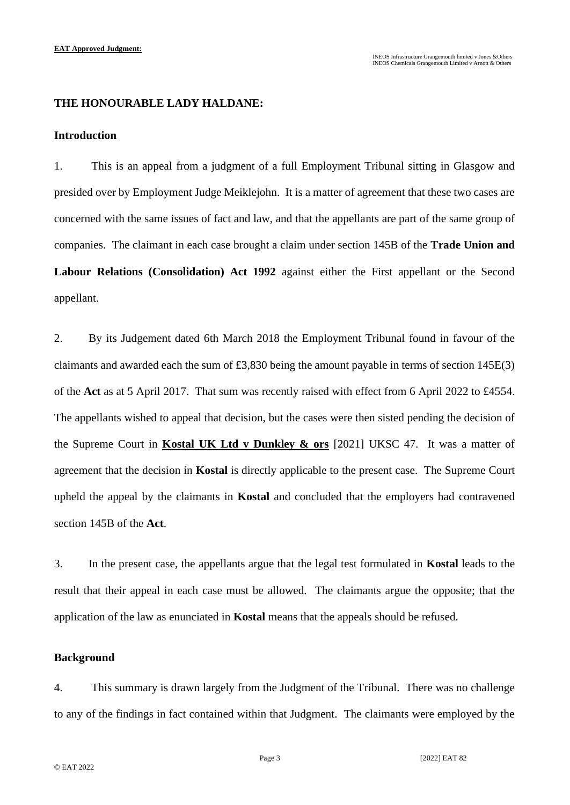## **THE HONOURABLE LADY HALDANE:**

## **Introduction**

1. This is an appeal from a judgment of a full Employment Tribunal sitting in Glasgow and presided over by Employment Judge Meiklejohn. It is a matter of agreement that these two cases are concerned with the same issues of fact and law, and that the appellants are part of the same group of companies. The claimant in each case brought a claim under section 145B of the **Trade Union and Labour Relations (Consolidation) Act 1992** against either the First appellant or the Second appellant.

2. By its Judgement dated 6th March 2018 the Employment Tribunal found in favour of the claimants and awarded each the sum of £3,830 being the amount payable in terms of section 145E(3) of the **Act** as at 5 April 2017. That sum was recently raised with effect from 6 April 2022 to £4554. The appellants wished to appeal that decision, but the cases were then sisted pending the decision of the Supreme Court in **Kostal UK Ltd v Dunkley & ors** [2021] UKSC 47. It was a matter of agreement that the decision in **Kostal** is directly applicable to the present case. The Supreme Court upheld the appeal by the claimants in **Kostal** and concluded that the employers had contravened section 145B of the **Act**.

3. In the present case, the appellants argue that the legal test formulated in **Kostal** leads to the result that their appeal in each case must be allowed. The claimants argue the opposite; that the application of the law as enunciated in **Kostal** means that the appeals should be refused.

## **Background**

4. This summary is drawn largely from the Judgment of the Tribunal. There was no challenge to any of the findings in fact contained within that Judgment. The claimants were employed by the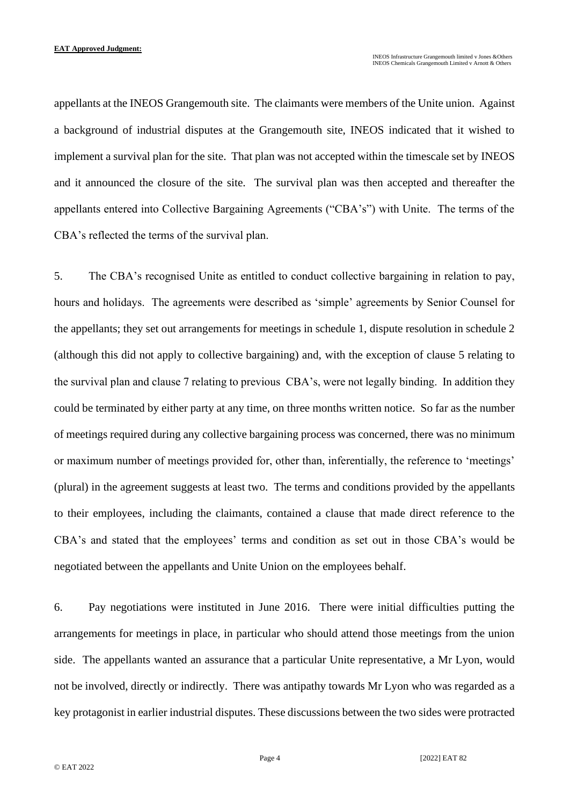appellants at the INEOS Grangemouth site. The claimants were members of the Unite union. Against a background of industrial disputes at the Grangemouth site, INEOS indicated that it wished to implement a survival plan for the site. That plan was not accepted within the timescale set by INEOS and it announced the closure of the site. The survival plan was then accepted and thereafter the appellants entered into Collective Bargaining Agreements ("CBA's") with Unite. The terms of the CBA's reflected the terms of the survival plan.

5. The CBA's recognised Unite as entitled to conduct collective bargaining in relation to pay, hours and holidays. The agreements were described as 'simple' agreements by Senior Counsel for the appellants; they set out arrangements for meetings in schedule 1, dispute resolution in schedule 2 (although this did not apply to collective bargaining) and, with the exception of clause 5 relating to the survival plan and clause 7 relating to previous CBA's, were not legally binding. In addition they could be terminated by either party at any time, on three months written notice. So far as the number of meetings required during any collective bargaining process was concerned, there was no minimum or maximum number of meetings provided for, other than, inferentially, the reference to 'meetings' (plural) in the agreement suggests at least two. The terms and conditions provided by the appellants to their employees, including the claimants, contained a clause that made direct reference to the CBA's and stated that the employees' terms and condition as set out in those CBA's would be negotiated between the appellants and Unite Union on the employees behalf.

6. Pay negotiations were instituted in June 2016. There were initial difficulties putting the arrangements for meetings in place, in particular who should attend those meetings from the union side. The appellants wanted an assurance that a particular Unite representative, a Mr Lyon, would not be involved, directly or indirectly. There was antipathy towards Mr Lyon who was regarded as a key protagonist in earlier industrial disputes. These discussions between the two sides were protracted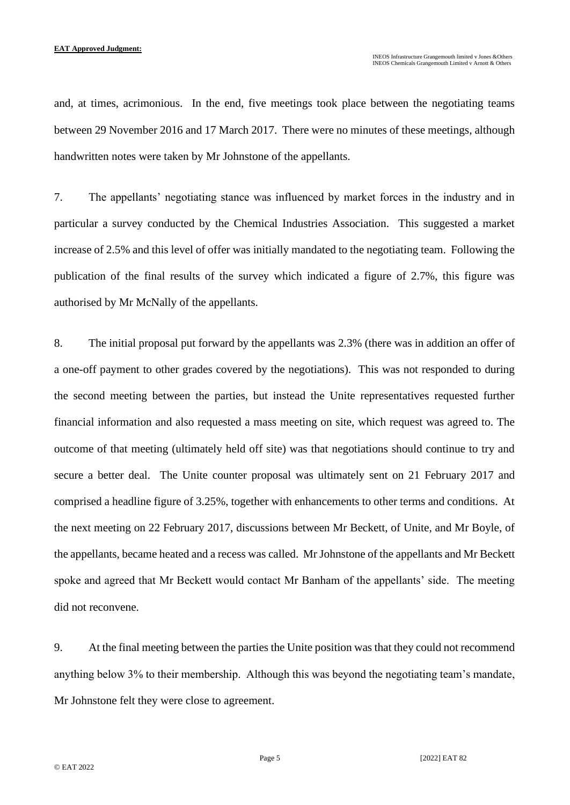and, at times, acrimonious. In the end, five meetings took place between the negotiating teams between 29 November 2016 and 17 March 2017. There were no minutes of these meetings, although handwritten notes were taken by Mr Johnstone of the appellants.

7. The appellants' negotiating stance was influenced by market forces in the industry and in particular a survey conducted by the Chemical Industries Association. This suggested a market increase of 2.5% and this level of offer was initially mandated to the negotiating team. Following the publication of the final results of the survey which indicated a figure of 2.7%, this figure was authorised by Mr McNally of the appellants.

8. The initial proposal put forward by the appellants was 2.3% (there was in addition an offer of a one-off payment to other grades covered by the negotiations). This was not responded to during the second meeting between the parties, but instead the Unite representatives requested further financial information and also requested a mass meeting on site, which request was agreed to. The outcome of that meeting (ultimately held off site) was that negotiations should continue to try and secure a better deal. The Unite counter proposal was ultimately sent on 21 February 2017 and comprised a headline figure of 3.25%, together with enhancements to other terms and conditions. At the next meeting on 22 February 2017, discussions between Mr Beckett, of Unite, and Mr Boyle, of the appellants, became heated and a recess was called. Mr Johnstone of the appellants and Mr Beckett spoke and agreed that Mr Beckett would contact Mr Banham of the appellants' side. The meeting did not reconvene.

9. At the final meeting between the parties the Unite position was that they could not recommend anything below 3% to their membership. Although this was beyond the negotiating team's mandate, Mr Johnstone felt they were close to agreement.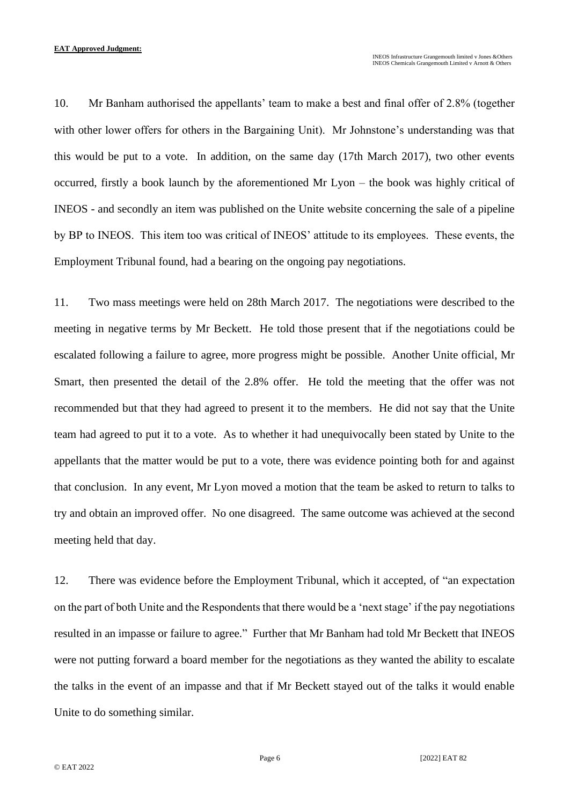10. Mr Banham authorised the appellants' team to make a best and final offer of 2.8% (together with other lower offers for others in the Bargaining Unit). Mr Johnstone's understanding was that this would be put to a vote. In addition, on the same day (17th March 2017), two other events occurred, firstly a book launch by the aforementioned Mr Lyon – the book was highly critical of INEOS - and secondly an item was published on the Unite website concerning the sale of a pipeline by BP to INEOS. This item too was critical of INEOS' attitude to its employees. These events, the Employment Tribunal found, had a bearing on the ongoing pay negotiations.

11. Two mass meetings were held on 28th March 2017. The negotiations were described to the meeting in negative terms by Mr Beckett. He told those present that if the negotiations could be escalated following a failure to agree, more progress might be possible. Another Unite official, Mr Smart, then presented the detail of the 2.8% offer. He told the meeting that the offer was not recommended but that they had agreed to present it to the members. He did not say that the Unite team had agreed to put it to a vote. As to whether it had unequivocally been stated by Unite to the appellants that the matter would be put to a vote, there was evidence pointing both for and against that conclusion. In any event, Mr Lyon moved a motion that the team be asked to return to talks to try and obtain an improved offer. No one disagreed. The same outcome was achieved at the second meeting held that day.

12. There was evidence before the Employment Tribunal, which it accepted, of "an expectation on the part of both Unite and the Respondents that there would be a 'next stage' if the pay negotiations resulted in an impasse or failure to agree." Further that Mr Banham had told Mr Beckett that INEOS were not putting forward a board member for the negotiations as they wanted the ability to escalate the talks in the event of an impasse and that if Mr Beckett stayed out of the talks it would enable Unite to do something similar.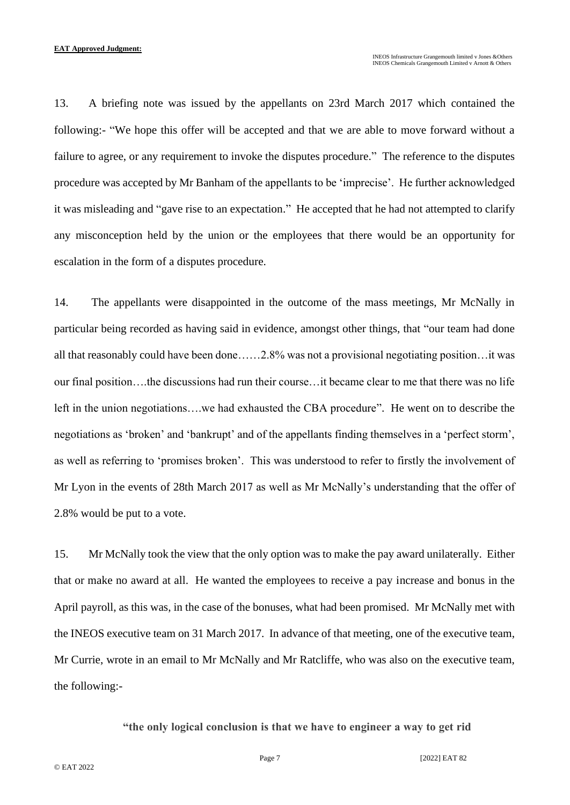13. A briefing note was issued by the appellants on 23rd March 2017 which contained the following:- "We hope this offer will be accepted and that we are able to move forward without a failure to agree, or any requirement to invoke the disputes procedure." The reference to the disputes procedure was accepted by Mr Banham of the appellants to be 'imprecise'. He further acknowledged it was misleading and "gave rise to an expectation." He accepted that he had not attempted to clarify any misconception held by the union or the employees that there would be an opportunity for escalation in the form of a disputes procedure.

14. The appellants were disappointed in the outcome of the mass meetings, Mr McNally in particular being recorded as having said in evidence, amongst other things, that "our team had done all that reasonably could have been done……2.8% was not a provisional negotiating position…it was our final position….the discussions had run their course…it became clear to me that there was no life left in the union negotiations….we had exhausted the CBA procedure". He went on to describe the negotiations as 'broken' and 'bankrupt' and of the appellants finding themselves in a 'perfect storm', as well as referring to 'promises broken'. This was understood to refer to firstly the involvement of Mr Lyon in the events of 28th March 2017 as well as Mr McNally's understanding that the offer of 2.8% would be put to a vote.

15. Mr McNally took the view that the only option was to make the pay award unilaterally. Either that or make no award at all. He wanted the employees to receive a pay increase and bonus in the April payroll, as this was, in the case of the bonuses, what had been promised. Mr McNally met with the INEOS executive team on 31 March 2017. In advance of that meeting, one of the executive team, Mr Currie, wrote in an email to Mr McNally and Mr Ratcliffe, who was also on the executive team, the following:-

**"the only logical conclusion is that we have to engineer a way to get rid**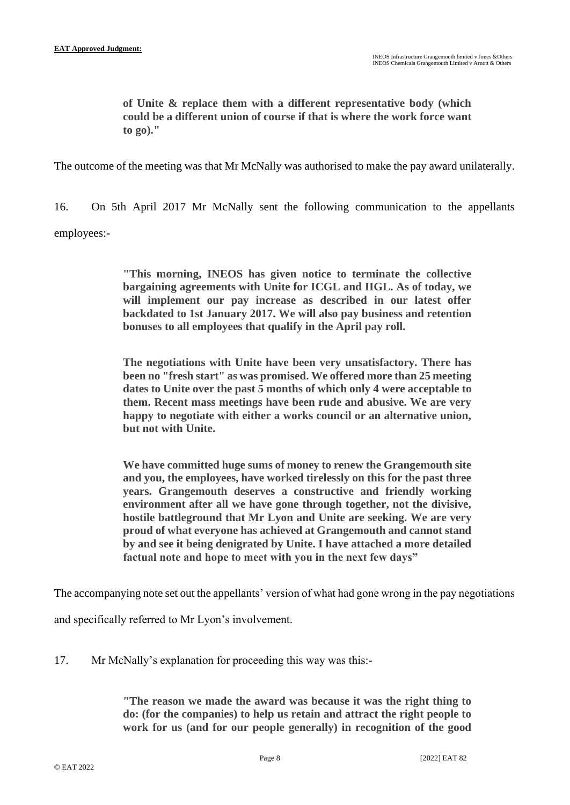**of Unite & replace them with a different representative body (which could be a different union of course if that is where the work force want to go)."**

The outcome of the meeting was that Mr McNally was authorised to make the pay award unilaterally.

16. On 5th April 2017 Mr McNally sent the following communication to the appellants employees:-

> **"This morning, INEOS has given notice to terminate the collective bargaining agreements with Unite for ICGL and IIGL. As of today, we will implement our pay increase as described in our latest offer backdated to 1st January 2017. We will also pay business and retention bonuses to all employees that qualify in the April pay roll.**

> **The negotiations with Unite have been very unsatisfactory. There has been no "fresh start" as was promised. We offered more than 25 meeting dates to Unite over the past 5 months of which only 4 were acceptable to them. Recent mass meetings have been rude and abusive. We are very happy to negotiate with either a works council or an alternative union, but not with Unite.**

> **We have committed huge sums of money to renew the Grangemouth site and you, the employees, have worked tirelessly on this for the past three years. Grangemouth deserves a constructive and friendly working environment after all we have gone through together, not the divisive, hostile battleground that Mr Lyon and Unite are seeking. We are very proud of what everyone has achieved at Grangemouth and cannot stand by and see it being denigrated by Unite. I have attached a more detailed factual note and hope to meet with you in the next few days"**

The accompanying note set out the appellants' version of what had gone wrong in the pay negotiations

and specifically referred to Mr Lyon's involvement.

17. Mr McNally's explanation for proceeding this way was this:-

**"The reason we made the award was because it was the right thing to do: (for the companies) to help us retain and attract the right people to work for us (and for our people generally) in recognition of the good**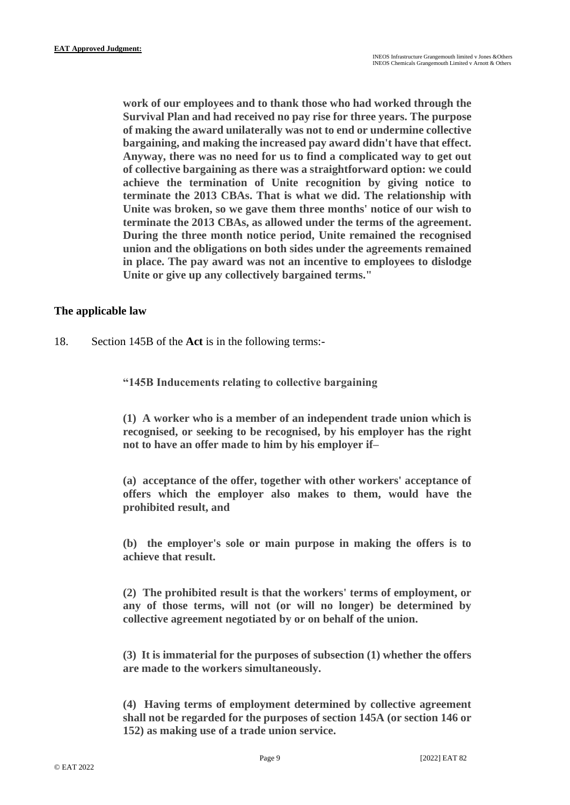**work of our employees and to thank those who had worked through the Survival Plan and had received no pay rise for three years. The purpose of making the award unilaterally was not to end or undermine collective bargaining, and making the increased pay award didn't have that effect. Anyway, there was no need for us to find a complicated way to get out of collective bargaining as there was a straightforward option: we could achieve the termination of Unite recognition by giving notice to terminate the 2013 CBAs. That is what we did. The relationship with Unite was broken, so we gave them three months' notice of our wish to terminate the 2013 CBAs, as allowed under the terms of the agreement. During the three month notice period, Unite remained the recognised union and the obligations on both sides under the agreements remained in place. The pay award was not an incentive to employees to dislodge Unite or give up any collectively bargained terms."**

## **The applicable law**

18. Section 145B of the **Act** is in the following terms:-

**"145B Inducements relating to collective bargaining**

**(1) A worker who is a member of an independent trade union which is recognised, or seeking to be recognised, by his employer has the right not to have an offer made to him by his employer if–**

**(a) acceptance of the offer, together with other workers' acceptance of offers which the employer also makes to them, would have the prohibited result, and**

**(b) the employer's sole or main purpose in making the offers is to achieve that result.**

**(2) The prohibited result is that the workers' terms of employment, or any of those terms, will not (or will no longer) be determined by collective agreement negotiated by or on behalf of the union.**

**(3) It is immaterial for the purposes of subsection (1) whether the offers are made to the workers simultaneously.**

**(4) Having terms of employment determined by collective agreement shall not be regarded for the purposes of section 145A (or section 146 or 152) as making use of a trade union service.**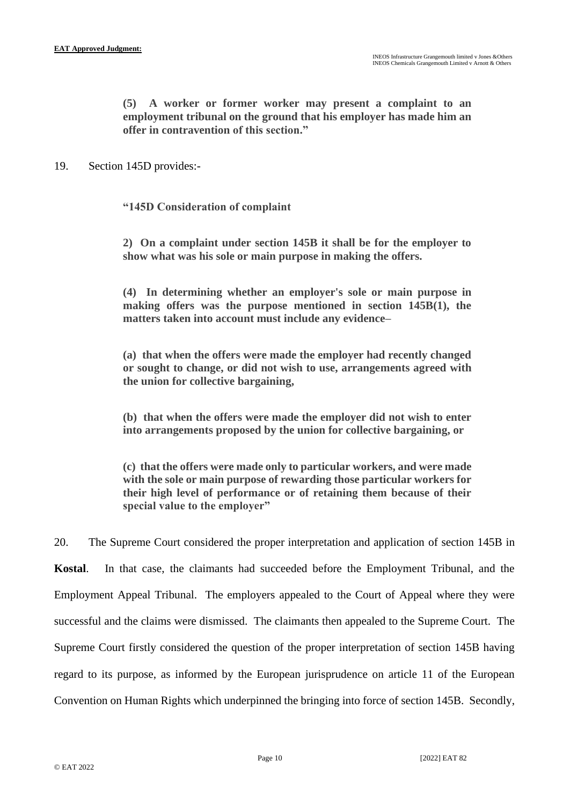**(5) A worker or former worker may present a complaint to an employment tribunal on the ground that his employer has made him an offer in contravention of this section."**

19. Section 145D provides:-

**"145D Consideration of complaint**

**2) On a complaint under section 145B it shall be for the employer to show what was his sole or main purpose in making the offers.**

**(4) In determining whether an employer's sole or main purpose in making offers was the purpose mentioned in section 145B(1), the matters taken into account must include any evidence–**

**(a) that when the offers were made the employer had recently changed or sought to change, or did not wish to use, arrangements agreed with the union for collective bargaining,**

**(b) that when the offers were made the employer did not wish to enter into arrangements proposed by the union for collective bargaining, or**

**(c) that the offers were made only to particular workers, and were made with the sole or main purpose of rewarding those particular workers for their high level of performance or of retaining them because of their special value to the employer"**

20. The Supreme Court considered the proper interpretation and application of section 145B in **Kostal**. In that case, the claimants had succeeded before the Employment Tribunal, and the Employment Appeal Tribunal. The employers appealed to the Court of Appeal where they were successful and the claims were dismissed. The claimants then appealed to the Supreme Court. The Supreme Court firstly considered the question of the proper interpretation of section 145B having regard to its purpose, as informed by the European jurisprudence on article 11 of the European Convention on Human Rights which underpinned the bringing into force of section 145B. Secondly,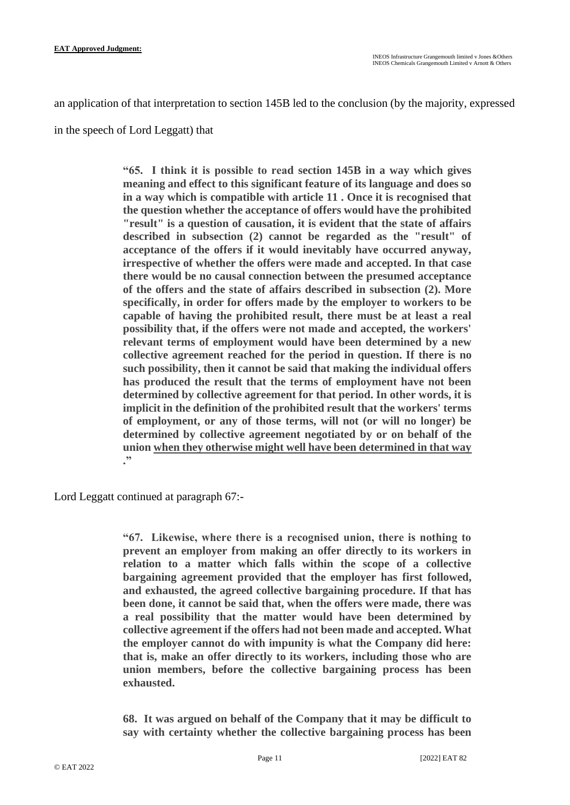an application of that interpretation to section 145B led to the conclusion (by the majority, expressed

in the speech of Lord Leggatt) that

**"65. I think it is possible to read section 145B in a way which gives meaning and effect to this significant feature of its language and does so in a way which is compatible with article 11 . Once it is recognised that the question whether the acceptance of offers would have the prohibited "result" is a question of causation, it is evident that the state of affairs described in subsection (2) cannot be regarded as the "result" of acceptance of the offers if it would inevitably have occurred anyway, irrespective of whether the offers were made and accepted. In that case there would be no causal connection between the presumed acceptance of the offers and the state of affairs described in subsection (2). More specifically, in order for offers made by the employer to workers to be capable of having the prohibited result, there must be at least a real possibility that, if the offers were not made and accepted, the workers' relevant terms of employment would have been determined by a new collective agreement reached for the period in question. If there is no such possibility, then it cannot be said that making the individual offers has produced the result that the terms of employment have not been determined by collective agreement for that period. In other words, it is implicit in the definition of the prohibited result that the workers' terms of employment, or any of those terms, will not (or will no longer) be determined by collective agreement negotiated by or on behalf of the union when they otherwise might well have been determined in that way ."**

Lord Leggatt continued at paragraph 67:-

**"67. Likewise, where there is a recognised union, there is nothing to prevent an employer from making an offer directly to its workers in relation to a matter which falls within the scope of a collective bargaining agreement provided that the employer has first followed, and exhausted, the agreed collective bargaining procedure. If that has been done, it cannot be said that, when the offers were made, there was a real possibility that the matter would have been determined by collective agreement if the offers had not been made and accepted. What the employer cannot do with impunity is what the Company did here: that is, make an offer directly to its workers, including those who are union members, before the collective bargaining process has been exhausted.**

**68. It was argued on behalf of the Company that it may be difficult to say with certainty whether the collective bargaining process has been**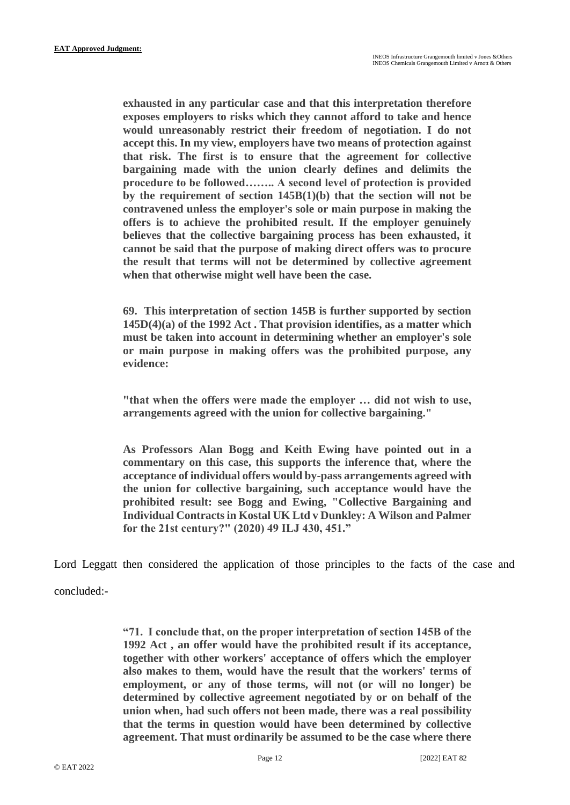**exhausted in any particular case and that this interpretation therefore exposes employers to risks which they cannot afford to take and hence would unreasonably restrict their freedom of negotiation. I do not accept this. In my view, employers have two means of protection against that risk. The first is to ensure that the agreement for collective bargaining made with the union clearly defines and delimits the procedure to be followed…….. A second level of protection is provided by the requirement of section 145B(1)(b) that the section will not be contravened unless the employer's sole or main purpose in making the offers is to achieve the prohibited result. If the employer genuinely believes that the collective bargaining process has been exhausted, it cannot be said that the purpose of making direct offers was to procure the result that terms will not be determined by collective agreement when that otherwise might well have been the case.**

**69. This interpretation of section 145B is further supported by section 145D(4)(a) of the 1992 Act . That provision identifies, as a matter which must be taken into account in determining whether an employer's sole or main purpose in making offers was the prohibited purpose, any evidence:**

**"that when the offers were made the employer … did not wish to use, arrangements agreed with the union for collective bargaining."**

**As Professors Alan Bogg and Keith Ewing have pointed out in a commentary on this case, this supports the inference that, where the acceptance of individual offers would by-pass arrangements agreed with the union for collective bargaining, such acceptance would have the prohibited result: see Bogg and Ewing, "Collective Bargaining and Individual Contracts in Kostal UK Ltd v Dunkley: A Wilson and Palmer for the 21st century?" (2020) 49 ILJ 430, 451."**

Lord Leggatt then considered the application of those principles to the facts of the case and concluded:-

**"71. I conclude that, on the proper interpretation of section 145B of the 1992 Act , an offer would have the prohibited result if its acceptance, together with other workers' acceptance of offers which the employer also makes to them, would have the result that the workers' terms of employment, or any of those terms, will not (or will no longer) be determined by collective agreement negotiated by or on behalf of the union when, had such offers not been made, there was a real possibility that the terms in question would have been determined by collective agreement. That must ordinarily be assumed to be the case where there**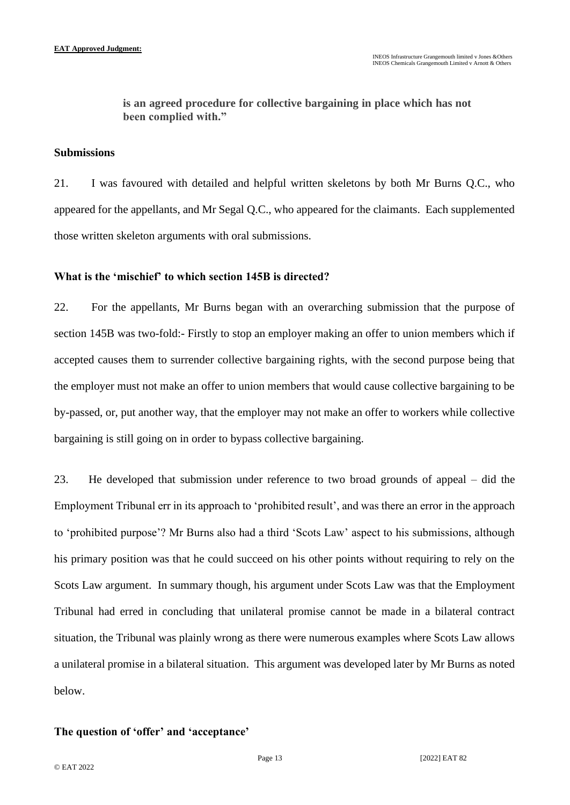**is an agreed procedure for collective bargaining in place which has not been complied with."**

## **Submissions**

21. I was favoured with detailed and helpful written skeletons by both Mr Burns Q.C., who appeared for the appellants, and Mr Segal Q.C., who appeared for the claimants. Each supplemented those written skeleton arguments with oral submissions.

#### **What is the 'mischief' to which section 145B is directed?**

22. For the appellants, Mr Burns began with an overarching submission that the purpose of section 145B was two-fold:- Firstly to stop an employer making an offer to union members which if accepted causes them to surrender collective bargaining rights, with the second purpose being that the employer must not make an offer to union members that would cause collective bargaining to be by-passed, or, put another way, that the employer may not make an offer to workers while collective bargaining is still going on in order to bypass collective bargaining.

23. He developed that submission under reference to two broad grounds of appeal – did the Employment Tribunal err in its approach to 'prohibited result', and was there an error in the approach to 'prohibited purpose'? Mr Burns also had a third 'Scots Law' aspect to his submissions, although his primary position was that he could succeed on his other points without requiring to rely on the Scots Law argument. In summary though, his argument under Scots Law was that the Employment Tribunal had erred in concluding that unilateral promise cannot be made in a bilateral contract situation, the Tribunal was plainly wrong as there were numerous examples where Scots Law allows a unilateral promise in a bilateral situation. This argument was developed later by Mr Burns as noted below.

## **The question of 'offer' and 'acceptance'**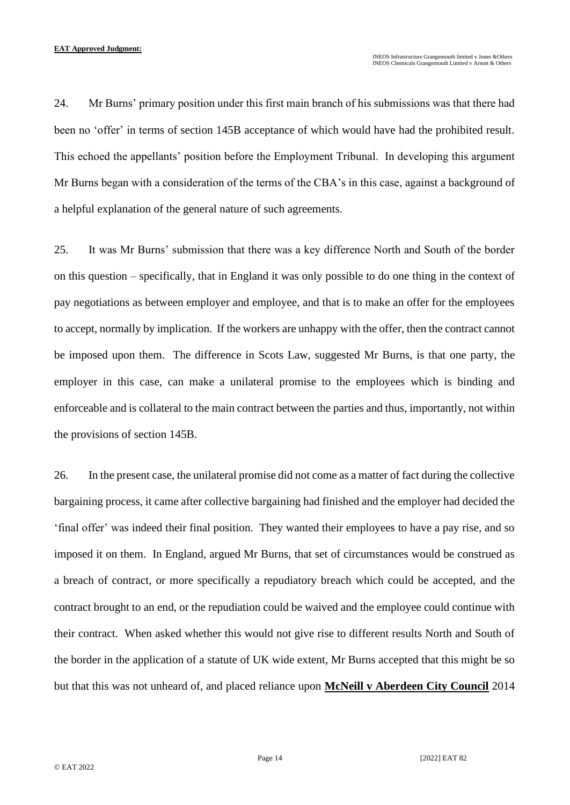24. Mr Burns' primary position under this first main branch of his submissions was that there had been no 'offer' in terms of section 145B acceptance of which would have had the prohibited result. This echoed the appellants' position before the Employment Tribunal. In developing this argument Mr Burns began with a consideration of the terms of the CBA's in this case, against a background of a helpful explanation of the general nature of such agreements.

25. It was Mr Burns' submission that there was a key difference North and South of the border on this question – specifically, that in England it was only possible to do one thing in the context of pay negotiations as between employer and employee, and that is to make an offer for the employees to accept, normally by implication. If the workers are unhappy with the offer, then the contract cannot be imposed upon them. The difference in Scots Law, suggested Mr Burns, is that one party, the employer in this case, can make a unilateral promise to the employees which is binding and enforceable and is collateral to the main contract between the parties and thus, importantly, not within the provisions of section 145B.

26. In the present case, the unilateral promise did not come as a matter of fact during the collective bargaining process, it came after collective bargaining had finished and the employer had decided the 'final offer' was indeed their final position. They wanted their employees to have a pay rise, and so imposed it on them. In England, argued Mr Burns, that set of circumstances would be construed as a breach of contract, or more specifically a repudiatory breach which could be accepted, and the contract brought to an end, or the repudiation could be waived and the employee could continue with their contract. When asked whether this would not give rise to different results North and South of the border in the application of a statute of UK wide extent, Mr Burns accepted that this might be so but that this was not unheard of, and placed reliance upon **McNeill v Aberdeen City Council** 2014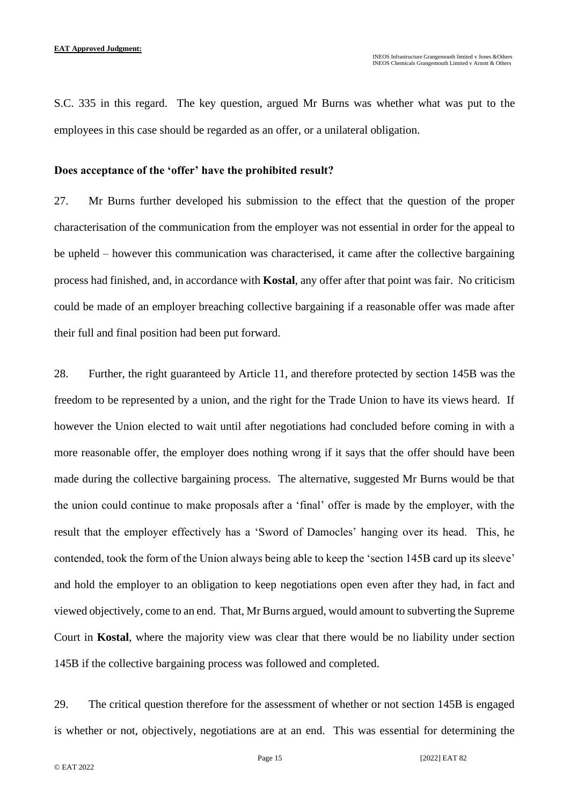S.C. 335 in this regard. The key question, argued Mr Burns was whether what was put to the employees in this case should be regarded as an offer, or a unilateral obligation.

#### **Does acceptance of the 'offer' have the prohibited result?**

27. Mr Burns further developed his submission to the effect that the question of the proper characterisation of the communication from the employer was not essential in order for the appeal to be upheld – however this communication was characterised, it came after the collective bargaining process had finished, and, in accordance with **Kostal**, any offer after that point was fair. No criticism could be made of an employer breaching collective bargaining if a reasonable offer was made after their full and final position had been put forward.

28. Further, the right guaranteed by Article 11, and therefore protected by section 145B was the freedom to be represented by a union, and the right for the Trade Union to have its views heard. If however the Union elected to wait until after negotiations had concluded before coming in with a more reasonable offer, the employer does nothing wrong if it says that the offer should have been made during the collective bargaining process. The alternative, suggested Mr Burns would be that the union could continue to make proposals after a 'final' offer is made by the employer, with the result that the employer effectively has a 'Sword of Damocles' hanging over its head. This, he contended, took the form of the Union always being able to keep the 'section 145B card up its sleeve' and hold the employer to an obligation to keep negotiations open even after they had, in fact and viewed objectively, come to an end. That, Mr Burns argued, would amount to subverting the Supreme Court in **Kostal**, where the majority view was clear that there would be no liability under section 145B if the collective bargaining process was followed and completed.

29. The critical question therefore for the assessment of whether or not section 145B is engaged is whether or not, objectively, negotiations are at an end. This was essential for determining the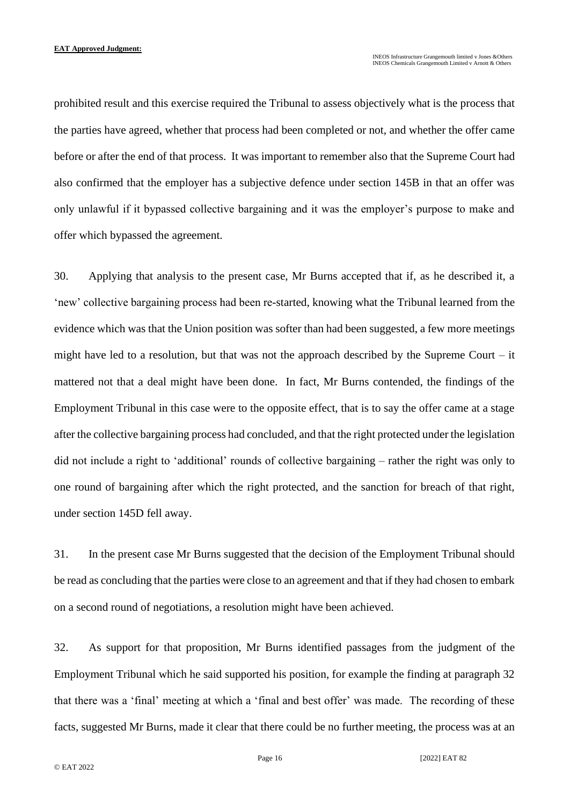prohibited result and this exercise required the Tribunal to assess objectively what is the process that the parties have agreed, whether that process had been completed or not, and whether the offer came before or after the end of that process. It was important to remember also that the Supreme Court had also confirmed that the employer has a subjective defence under section 145B in that an offer was only unlawful if it bypassed collective bargaining and it was the employer's purpose to make and offer which bypassed the agreement.

30. Applying that analysis to the present case, Mr Burns accepted that if, as he described it, a 'new' collective bargaining process had been re-started, knowing what the Tribunal learned from the evidence which was that the Union position was softer than had been suggested, a few more meetings might have led to a resolution, but that was not the approach described by the Supreme Court – it mattered not that a deal might have been done. In fact, Mr Burns contended, the findings of the Employment Tribunal in this case were to the opposite effect, that is to say the offer came at a stage after the collective bargaining process had concluded, and that the right protected under the legislation did not include a right to 'additional' rounds of collective bargaining – rather the right was only to one round of bargaining after which the right protected, and the sanction for breach of that right, under section 145D fell away.

31. In the present case Mr Burns suggested that the decision of the Employment Tribunal should be read as concluding that the parties were close to an agreement and that if they had chosen to embark on a second round of negotiations, a resolution might have been achieved.

32. As support for that proposition, Mr Burns identified passages from the judgment of the Employment Tribunal which he said supported his position, for example the finding at paragraph 32 that there was a 'final' meeting at which a 'final and best offer' was made. The recording of these facts, suggested Mr Burns, made it clear that there could be no further meeting, the process was at an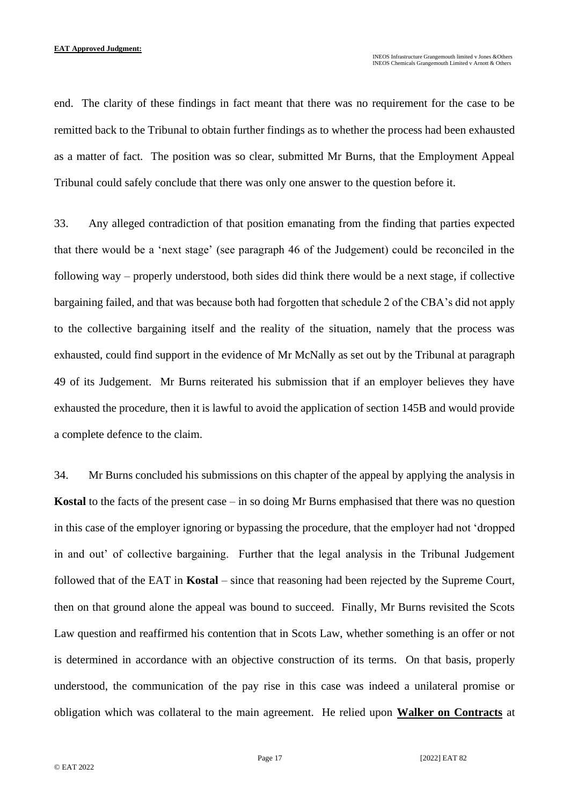end. The clarity of these findings in fact meant that there was no requirement for the case to be remitted back to the Tribunal to obtain further findings as to whether the process had been exhausted as a matter of fact. The position was so clear, submitted Mr Burns, that the Employment Appeal Tribunal could safely conclude that there was only one answer to the question before it.

33. Any alleged contradiction of that position emanating from the finding that parties expected that there would be a 'next stage' (see paragraph 46 of the Judgement) could be reconciled in the following way – properly understood, both sides did think there would be a next stage, if collective bargaining failed, and that was because both had forgotten that schedule 2 of the CBA's did not apply to the collective bargaining itself and the reality of the situation, namely that the process was exhausted, could find support in the evidence of Mr McNally as set out by the Tribunal at paragraph 49 of its Judgement. Mr Burns reiterated his submission that if an employer believes they have exhausted the procedure, then it is lawful to avoid the application of section 145B and would provide a complete defence to the claim.

34. Mr Burns concluded his submissions on this chapter of the appeal by applying the analysis in **Kostal** to the facts of the present case – in so doing Mr Burns emphasised that there was no question in this case of the employer ignoring or bypassing the procedure, that the employer had not 'dropped in and out' of collective bargaining. Further that the legal analysis in the Tribunal Judgement followed that of the EAT in **Kostal** – since that reasoning had been rejected by the Supreme Court, then on that ground alone the appeal was bound to succeed. Finally, Mr Burns revisited the Scots Law question and reaffirmed his contention that in Scots Law, whether something is an offer or not is determined in accordance with an objective construction of its terms. On that basis, properly understood, the communication of the pay rise in this case was indeed a unilateral promise or obligation which was collateral to the main agreement. He relied upon **Walker on Contracts** at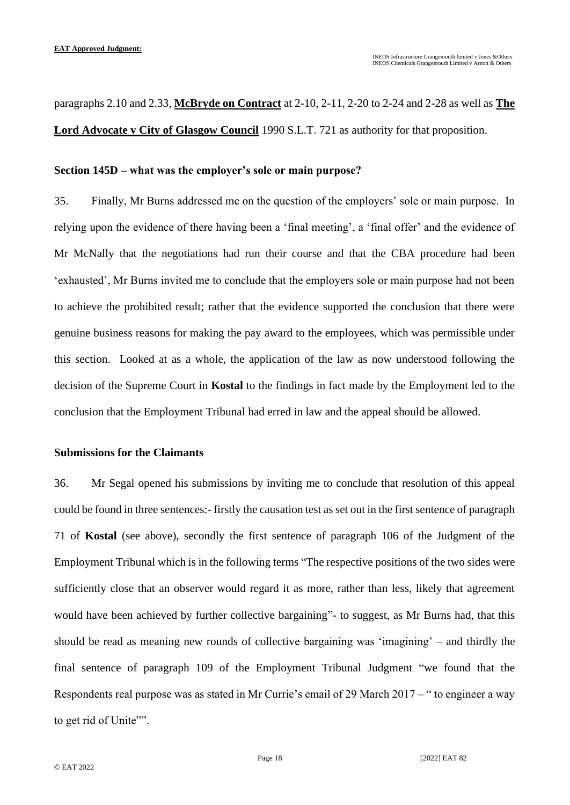paragraphs 2.10 and 2.33, **McBryde on Contract** at 2-10, 2-11, 2-20 to 2-24 and 2-28 as well as **The Lord Advocate v City of Glasgow Council** 1990 S.L.T. 721 as authority for that proposition.

#### **Section 145D – what was the employer's sole or main purpose?**

35. Finally, Mr Burns addressed me on the question of the employers' sole or main purpose. In relying upon the evidence of there having been a 'final meeting', a 'final offer' and the evidence of Mr McNally that the negotiations had run their course and that the CBA procedure had been 'exhausted', Mr Burns invited me to conclude that the employers sole or main purpose had not been to achieve the prohibited result; rather that the evidence supported the conclusion that there were genuine business reasons for making the pay award to the employees, which was permissible under this section. Looked at as a whole, the application of the law as now understood following the decision of the Supreme Court in **Kostal** to the findings in fact made by the Employment led to the conclusion that the Employment Tribunal had erred in law and the appeal should be allowed.

#### **Submissions for the Claimants**

36. Mr Segal opened his submissions by inviting me to conclude that resolution of this appeal could be found in three sentences:- firstly the causation test as set out in the first sentence of paragraph 71 of **Kostal** (see above), secondly the first sentence of paragraph 106 of the Judgment of the Employment Tribunal which is in the following terms "The respective positions of the two sides were sufficiently close that an observer would regard it as more, rather than less, likely that agreement would have been achieved by further collective bargaining"- to suggest, as Mr Burns had, that this should be read as meaning new rounds of collective bargaining was 'imagining' – and thirdly the final sentence of paragraph 109 of the Employment Tribunal Judgment "we found that the Respondents real purpose was as stated in Mr Currie's email of 29 March 2017 – " to engineer a way to get rid of Unite"".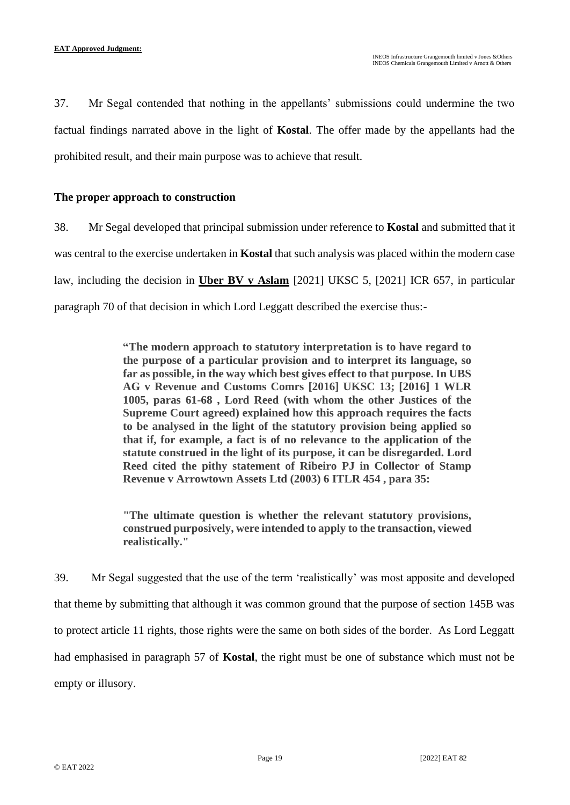37. Mr Segal contended that nothing in the appellants' submissions could undermine the two factual findings narrated above in the light of **Kostal**. The offer made by the appellants had the prohibited result, and their main purpose was to achieve that result.

## **The proper approach to construction**

38. Mr Segal developed that principal submission under reference to **Kostal** and submitted that it was central to the exercise undertaken in **Kostal** that such analysis was placed within the modern case law, including the decision in **Uber BV v Aslam** [2021] UKSC 5, [2021] ICR 657, in particular paragraph 70 of that decision in which Lord Leggatt described the exercise thus:-

> **"The modern approach to statutory interpretation is to have regard to the purpose of a particular provision and to interpret its language, so far as possible, in the way which best gives effect to that purpose. In UBS AG v Revenue and Customs Comrs [2016] UKSC 13; [2016] 1 WLR 1005, paras 61-68 , Lord Reed (with whom the other Justices of the Supreme Court agreed) explained how this approach requires the facts to be analysed in the light of the statutory provision being applied so that if, for example, a fact is of no relevance to the application of the statute construed in the light of its purpose, it can be disregarded. Lord Reed cited the pithy statement of Ribeiro PJ in Collector of Stamp Revenue v Arrowtown Assets Ltd (2003) 6 ITLR 454 , para 35:**

> **"The ultimate question is whether the relevant statutory provisions, construed purposively, were intended to apply to the transaction, viewed realistically."**

39. Mr Segal suggested that the use of the term 'realistically' was most apposite and developed that theme by submitting that although it was common ground that the purpose of section 145B was to protect article 11 rights, those rights were the same on both sides of the border. As Lord Leggatt had emphasised in paragraph 57 of **Kostal**, the right must be one of substance which must not be empty or illusory.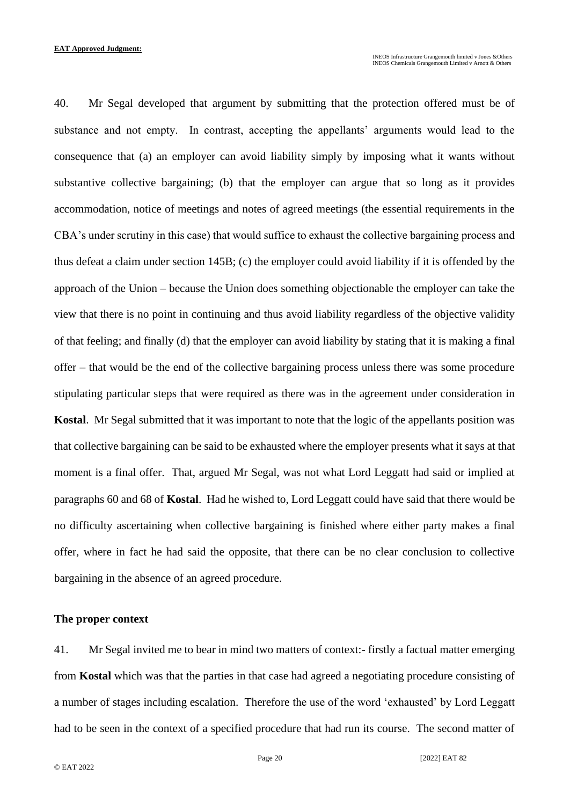40. Mr Segal developed that argument by submitting that the protection offered must be of substance and not empty. In contrast, accepting the appellants' arguments would lead to the consequence that (a) an employer can avoid liability simply by imposing what it wants without substantive collective bargaining; (b) that the employer can argue that so long as it provides accommodation, notice of meetings and notes of agreed meetings (the essential requirements in the CBA's under scrutiny in this case) that would suffice to exhaust the collective bargaining process and thus defeat a claim under section 145B; (c) the employer could avoid liability if it is offended by the approach of the Union – because the Union does something objectionable the employer can take the view that there is no point in continuing and thus avoid liability regardless of the objective validity of that feeling; and finally (d) that the employer can avoid liability by stating that it is making a final offer – that would be the end of the collective bargaining process unless there was some procedure stipulating particular steps that were required as there was in the agreement under consideration in **Kostal**. Mr Segal submitted that it was important to note that the logic of the appellants position was that collective bargaining can be said to be exhausted where the employer presents what it says at that moment is a final offer. That, argued Mr Segal, was not what Lord Leggatt had said or implied at paragraphs 60 and 68 of **Kostal**. Had he wished to, Lord Leggatt could have said that there would be no difficulty ascertaining when collective bargaining is finished where either party makes a final offer, where in fact he had said the opposite, that there can be no clear conclusion to collective bargaining in the absence of an agreed procedure.

#### **The proper context**

41. Mr Segal invited me to bear in mind two matters of context:- firstly a factual matter emerging from **Kostal** which was that the parties in that case had agreed a negotiating procedure consisting of a number of stages including escalation. Therefore the use of the word 'exhausted' by Lord Leggatt had to be seen in the context of a specified procedure that had run its course. The second matter of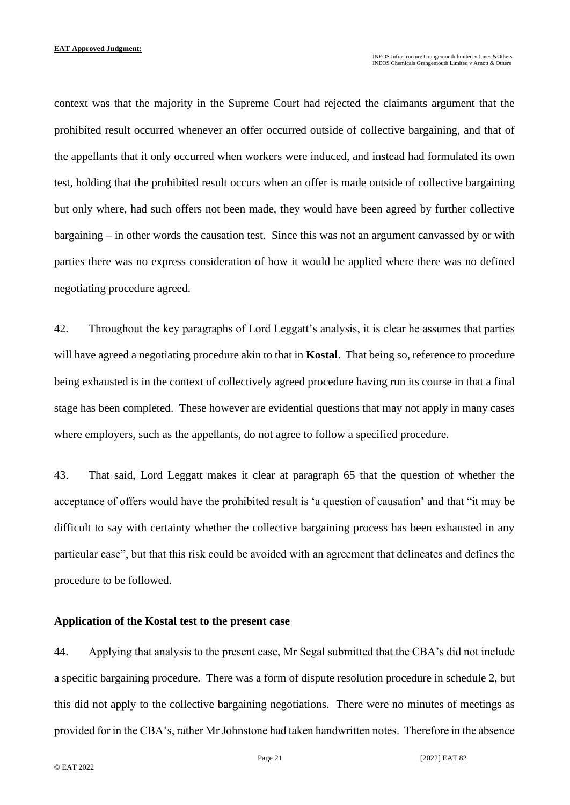context was that the majority in the Supreme Court had rejected the claimants argument that the prohibited result occurred whenever an offer occurred outside of collective bargaining, and that of the appellants that it only occurred when workers were induced, and instead had formulated its own test, holding that the prohibited result occurs when an offer is made outside of collective bargaining but only where, had such offers not been made, they would have been agreed by further collective bargaining – in other words the causation test. Since this was not an argument canvassed by or with parties there was no express consideration of how it would be applied where there was no defined negotiating procedure agreed.

42. Throughout the key paragraphs of Lord Leggatt's analysis, it is clear he assumes that parties will have agreed a negotiating procedure akin to that in **Kostal**. That being so, reference to procedure being exhausted is in the context of collectively agreed procedure having run its course in that a final stage has been completed. These however are evidential questions that may not apply in many cases where employers, such as the appellants, do not agree to follow a specified procedure.

43. That said, Lord Leggatt makes it clear at paragraph 65 that the question of whether the acceptance of offers would have the prohibited result is 'a question of causation' and that "it may be difficult to say with certainty whether the collective bargaining process has been exhausted in any particular case", but that this risk could be avoided with an agreement that delineates and defines the procedure to be followed.

#### **Application of the Kostal test to the present case**

44. Applying that analysis to the present case, Mr Segal submitted that the CBA's did not include a specific bargaining procedure. There was a form of dispute resolution procedure in schedule 2, but this did not apply to the collective bargaining negotiations. There were no minutes of meetings as provided for in the CBA's, rather Mr Johnstone had taken handwritten notes. Therefore in the absence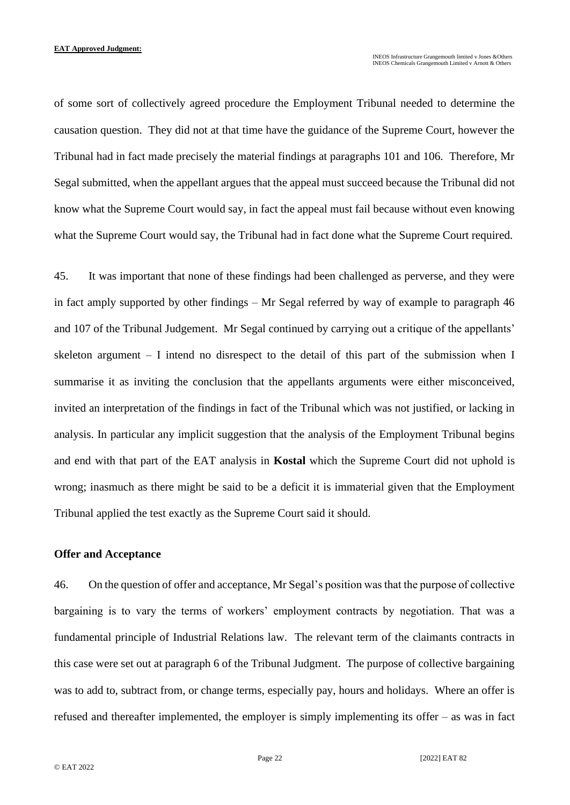of some sort of collectively agreed procedure the Employment Tribunal needed to determine the causation question. They did not at that time have the guidance of the Supreme Court, however the Tribunal had in fact made precisely the material findings at paragraphs 101 and 106. Therefore, Mr Segal submitted, when the appellant argues that the appeal must succeed because the Tribunal did not know what the Supreme Court would say, in fact the appeal must fail because without even knowing what the Supreme Court would say, the Tribunal had in fact done what the Supreme Court required.

45. It was important that none of these findings had been challenged as perverse, and they were in fact amply supported by other findings – Mr Segal referred by way of example to paragraph 46 and 107 of the Tribunal Judgement. Mr Segal continued by carrying out a critique of the appellants' skeleton argument – I intend no disrespect to the detail of this part of the submission when I summarise it as inviting the conclusion that the appellants arguments were either misconceived, invited an interpretation of the findings in fact of the Tribunal which was not justified, or lacking in analysis. In particular any implicit suggestion that the analysis of the Employment Tribunal begins and end with that part of the EAT analysis in **Kostal** which the Supreme Court did not uphold is wrong; inasmuch as there might be said to be a deficit it is immaterial given that the Employment Tribunal applied the test exactly as the Supreme Court said it should.

#### **Offer and Acceptance**

46. On the question of offer and acceptance, Mr Segal's position was that the purpose of collective bargaining is to vary the terms of workers' employment contracts by negotiation. That was a fundamental principle of Industrial Relations law. The relevant term of the claimants contracts in this case were set out at paragraph 6 of the Tribunal Judgment. The purpose of collective bargaining was to add to, subtract from, or change terms, especially pay, hours and holidays. Where an offer is refused and thereafter implemented, the employer is simply implementing its offer – as was in fact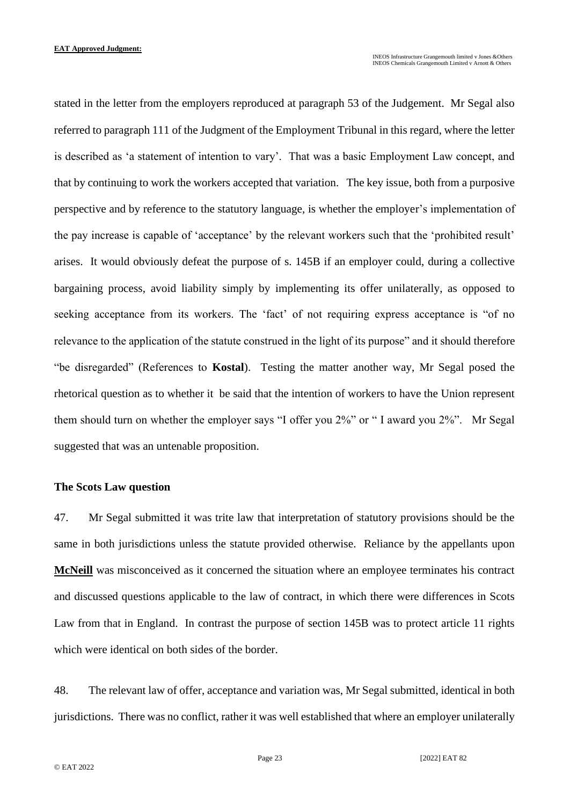stated in the letter from the employers reproduced at paragraph 53 of the Judgement. Mr Segal also referred to paragraph 111 of the Judgment of the Employment Tribunal in this regard, where the letter is described as 'a statement of intention to vary'. That was a basic Employment Law concept, and that by continuing to work the workers accepted that variation. The key issue, both from a purposive perspective and by reference to the statutory language, is whether the employer's implementation of the pay increase is capable of 'acceptance' by the relevant workers such that the 'prohibited result' arises. It would obviously defeat the purpose of s. 145B if an employer could, during a collective bargaining process, avoid liability simply by implementing its offer unilaterally, as opposed to seeking acceptance from its workers. The 'fact' of not requiring express acceptance is "of no relevance to the application of the statute construed in the light of its purpose" and it should therefore "be disregarded" (References to **Kostal**). Testing the matter another way, Mr Segal posed the rhetorical question as to whether it be said that the intention of workers to have the Union represent them should turn on whether the employer says "I offer you 2%" or " I award you 2%". Mr Segal suggested that was an untenable proposition.

#### **The Scots Law question**

47. Mr Segal submitted it was trite law that interpretation of statutory provisions should be the same in both jurisdictions unless the statute provided otherwise. Reliance by the appellants upon **McNeill** was misconceived as it concerned the situation where an employee terminates his contract and discussed questions applicable to the law of contract, in which there were differences in Scots Law from that in England. In contrast the purpose of section 145B was to protect article 11 rights which were identical on both sides of the border.

48. The relevant law of offer, acceptance and variation was, Mr Segal submitted, identical in both jurisdictions. There was no conflict, rather it was well established that where an employer unilaterally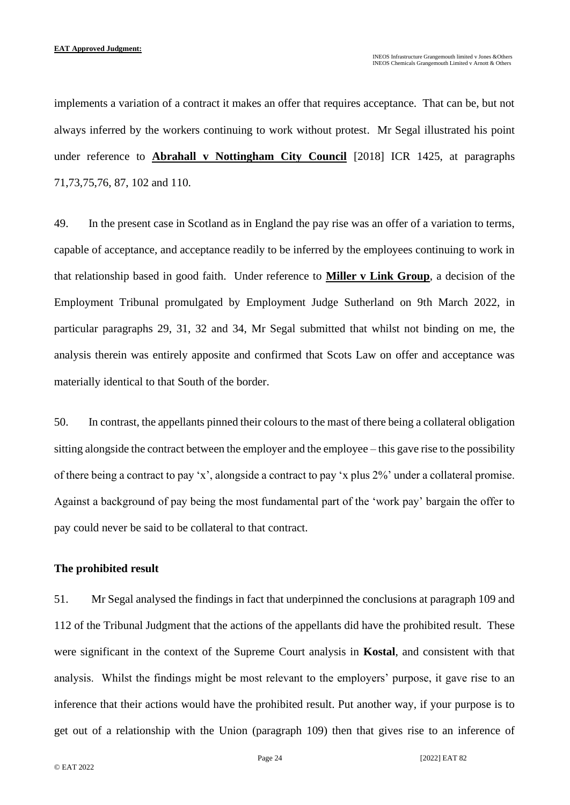implements a variation of a contract it makes an offer that requires acceptance. That can be, but not always inferred by the workers continuing to work without protest. Mr Segal illustrated his point under reference to **Abrahall v Nottingham City Council** [2018] ICR 1425, at paragraphs 71,73,75,76, 87, 102 and 110.

49. In the present case in Scotland as in England the pay rise was an offer of a variation to terms, capable of acceptance, and acceptance readily to be inferred by the employees continuing to work in that relationship based in good faith. Under reference to **Miller v Link Group**, a decision of the Employment Tribunal promulgated by Employment Judge Sutherland on 9th March 2022, in particular paragraphs 29, 31, 32 and 34, Mr Segal submitted that whilst not binding on me, the analysis therein was entirely apposite and confirmed that Scots Law on offer and acceptance was materially identical to that South of the border.

50. In contrast, the appellants pinned their colours to the mast of there being a collateral obligation sitting alongside the contract between the employer and the employee – this gave rise to the possibility of there being a contract to pay 'x', alongside a contract to pay 'x plus 2%' under a collateral promise. Against a background of pay being the most fundamental part of the 'work pay' bargain the offer to pay could never be said to be collateral to that contract.

#### **The prohibited result**

51. Mr Segal analysed the findings in fact that underpinned the conclusions at paragraph 109 and 112 of the Tribunal Judgment that the actions of the appellants did have the prohibited result. These were significant in the context of the Supreme Court analysis in **Kostal**, and consistent with that analysis. Whilst the findings might be most relevant to the employers' purpose, it gave rise to an inference that their actions would have the prohibited result. Put another way, if your purpose is to get out of a relationship with the Union (paragraph 109) then that gives rise to an inference of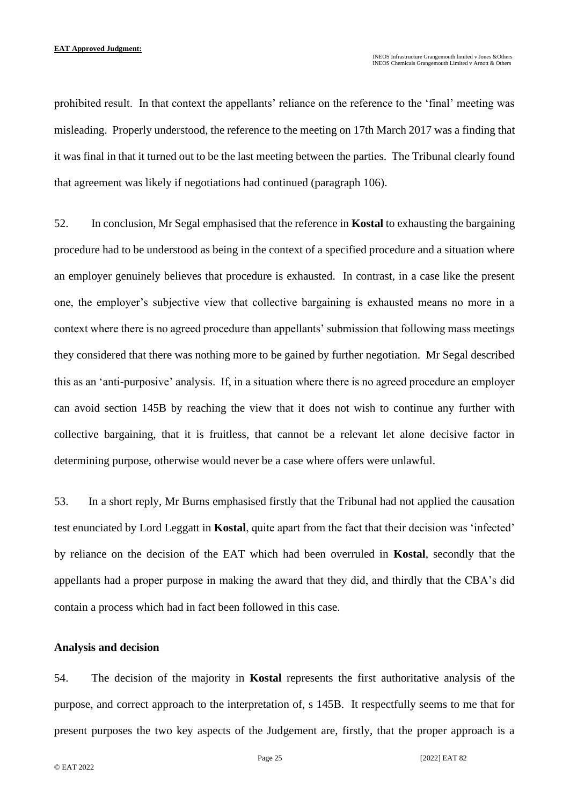prohibited result. In that context the appellants' reliance on the reference to the 'final' meeting was misleading. Properly understood, the reference to the meeting on 17th March 2017 was a finding that it was final in that it turned out to be the last meeting between the parties. The Tribunal clearly found that agreement was likely if negotiations had continued (paragraph 106).

52. In conclusion, Mr Segal emphasised that the reference in **Kostal** to exhausting the bargaining procedure had to be understood as being in the context of a specified procedure and a situation where an employer genuinely believes that procedure is exhausted. In contrast, in a case like the present one, the employer's subjective view that collective bargaining is exhausted means no more in a context where there is no agreed procedure than appellants' submission that following mass meetings they considered that there was nothing more to be gained by further negotiation. Mr Segal described this as an 'anti-purposive' analysis. If, in a situation where there is no agreed procedure an employer can avoid section 145B by reaching the view that it does not wish to continue any further with collective bargaining, that it is fruitless, that cannot be a relevant let alone decisive factor in determining purpose, otherwise would never be a case where offers were unlawful.

53. In a short reply, Mr Burns emphasised firstly that the Tribunal had not applied the causation test enunciated by Lord Leggatt in **Kostal**, quite apart from the fact that their decision was 'infected' by reliance on the decision of the EAT which had been overruled in **Kostal**, secondly that the appellants had a proper purpose in making the award that they did, and thirdly that the CBA's did contain a process which had in fact been followed in this case.

#### **Analysis and decision**

54. The decision of the majority in **Kostal** represents the first authoritative analysis of the purpose, and correct approach to the interpretation of, s 145B. It respectfully seems to me that for present purposes the two key aspects of the Judgement are, firstly, that the proper approach is a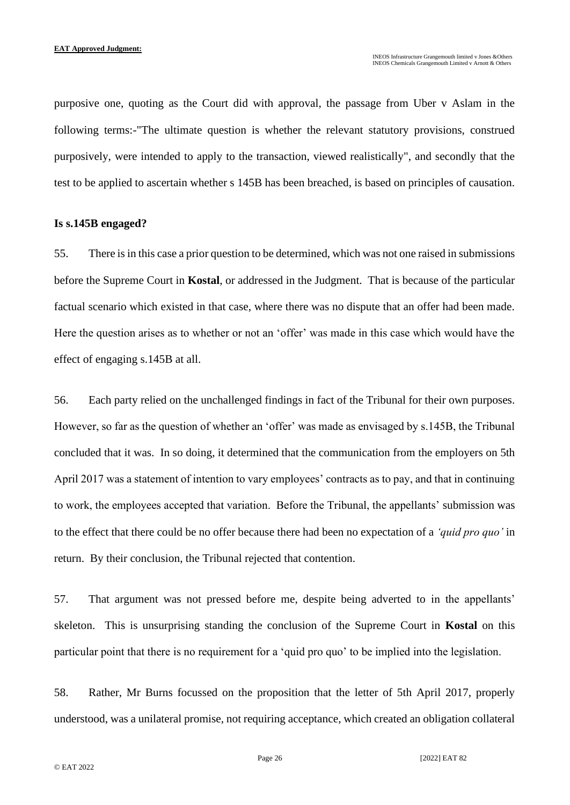purposive one, quoting as the Court did with approval, the passage from Uber v Aslam in the following terms:-"The ultimate question is whether the relevant statutory provisions, construed purposively, were intended to apply to the transaction, viewed realistically", and secondly that the test to be applied to ascertain whether s 145B has been breached, is based on principles of causation.

#### **Is s.145B engaged?**

55. There is in this case a prior question to be determined, which was not one raised in submissions before the Supreme Court in **Kostal**, or addressed in the Judgment. That is because of the particular factual scenario which existed in that case, where there was no dispute that an offer had been made. Here the question arises as to whether or not an 'offer' was made in this case which would have the effect of engaging s.145B at all.

56. Each party relied on the unchallenged findings in fact of the Tribunal for their own purposes. However, so far as the question of whether an 'offer' was made as envisaged by s.145B, the Tribunal concluded that it was. In so doing, it determined that the communication from the employers on 5th April 2017 was a statement of intention to vary employees' contracts as to pay, and that in continuing to work, the employees accepted that variation. Before the Tribunal, the appellants' submission was to the effect that there could be no offer because there had been no expectation of a *'quid pro quo'* in return. By their conclusion, the Tribunal rejected that contention.

57. That argument was not pressed before me, despite being adverted to in the appellants' skeleton. This is unsurprising standing the conclusion of the Supreme Court in **Kostal** on this particular point that there is no requirement for a 'quid pro quo' to be implied into the legislation.

58. Rather, Mr Burns focussed on the proposition that the letter of 5th April 2017, properly understood, was a unilateral promise, not requiring acceptance, which created an obligation collateral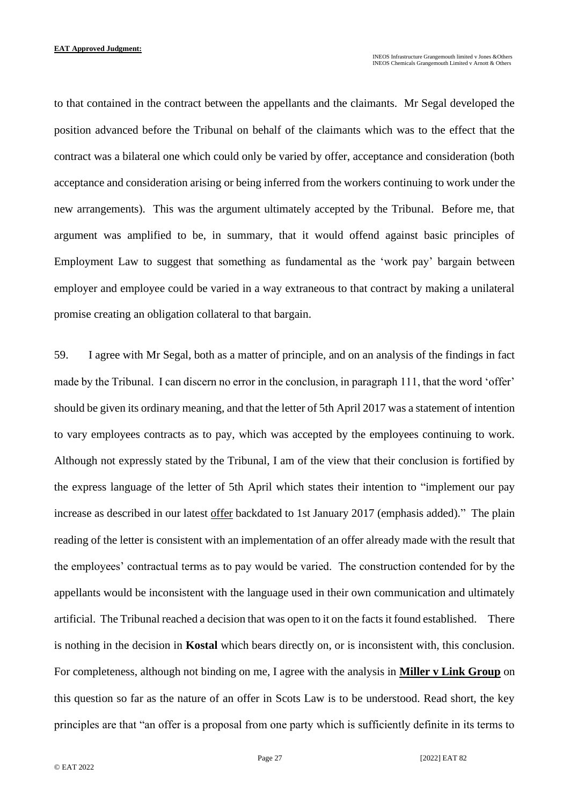to that contained in the contract between the appellants and the claimants. Mr Segal developed the position advanced before the Tribunal on behalf of the claimants which was to the effect that the contract was a bilateral one which could only be varied by offer, acceptance and consideration (both acceptance and consideration arising or being inferred from the workers continuing to work under the new arrangements). This was the argument ultimately accepted by the Tribunal. Before me, that argument was amplified to be, in summary, that it would offend against basic principles of Employment Law to suggest that something as fundamental as the 'work pay' bargain between employer and employee could be varied in a way extraneous to that contract by making a unilateral promise creating an obligation collateral to that bargain.

59. I agree with Mr Segal, both as a matter of principle, and on an analysis of the findings in fact made by the Tribunal. I can discern no error in the conclusion, in paragraph 111, that the word 'offer' should be given its ordinary meaning, and that the letter of 5th April 2017 was a statement of intention to vary employees contracts as to pay, which was accepted by the employees continuing to work. Although not expressly stated by the Tribunal, I am of the view that their conclusion is fortified by the express language of the letter of 5th April which states their intention to "implement our pay increase as described in our latest offer backdated to 1st January 2017 (emphasis added)." The plain reading of the letter is consistent with an implementation of an offer already made with the result that the employees' contractual terms as to pay would be varied. The construction contended for by the appellants would be inconsistent with the language used in their own communication and ultimately artificial. The Tribunal reached a decision that was open to it on the facts it found established. There is nothing in the decision in **Kostal** which bears directly on, or is inconsistent with, this conclusion. For completeness, although not binding on me, I agree with the analysis in **Miller v Link Group** on this question so far as the nature of an offer in Scots Law is to be understood. Read short, the key principles are that "an offer is a proposal from one party which is sufficiently definite in its terms to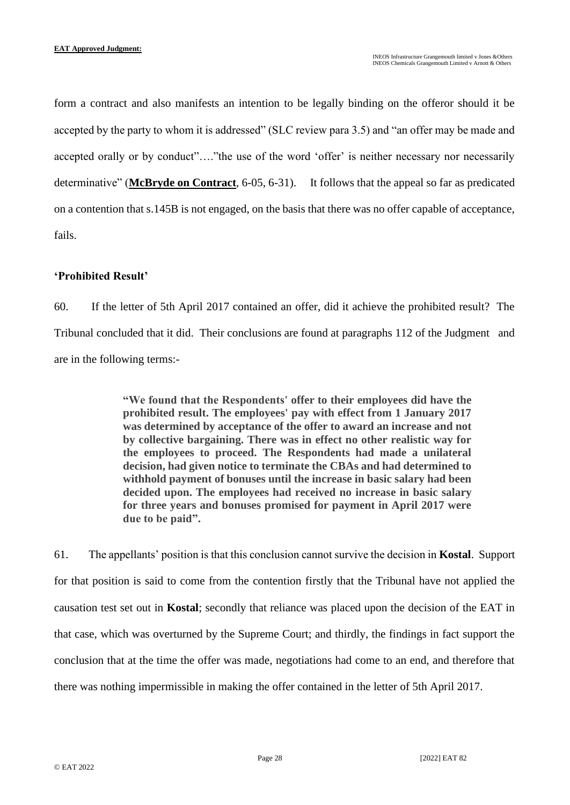form a contract and also manifests an intention to be legally binding on the offeror should it be accepted by the party to whom it is addressed" (SLC review para 3.5) and "an offer may be made and accepted orally or by conduct"...."the use of the word 'offer' is neither necessary nor necessarily determinative" (**McBryde on Contract**, 6-05, 6-31). It follows that the appeal so far as predicated on a contention that s.145B is not engaged, on the basis that there was no offer capable of acceptance, fails.

## **'Prohibited Result'**

60. If the letter of 5th April 2017 contained an offer, did it achieve the prohibited result? The Tribunal concluded that it did. Their conclusions are found at paragraphs 112 of the Judgment and are in the following terms:-

> **"We found that the Respondents' offer to their employees did have the prohibited result. The employees' pay with effect from 1 January 2017 was determined by acceptance of the offer to award an increase and not by collective bargaining. There was in effect no other realistic way for the employees to proceed. The Respondents had made a unilateral decision, had given notice to terminate the CBAs and had determined to withhold payment of bonuses until the increase in basic salary had been decided upon. The employees had received no increase in basic salary for three years and bonuses promised for payment in April 2017 were due to be paid".**

61. The appellants' position is that this conclusion cannot survive the decision in **Kostal**. Support for that position is said to come from the contention firstly that the Tribunal have not applied the causation test set out in **Kostal**; secondly that reliance was placed upon the decision of the EAT in that case, which was overturned by the Supreme Court; and thirdly, the findings in fact support the conclusion that at the time the offer was made, negotiations had come to an end, and therefore that there was nothing impermissible in making the offer contained in the letter of 5th April 2017.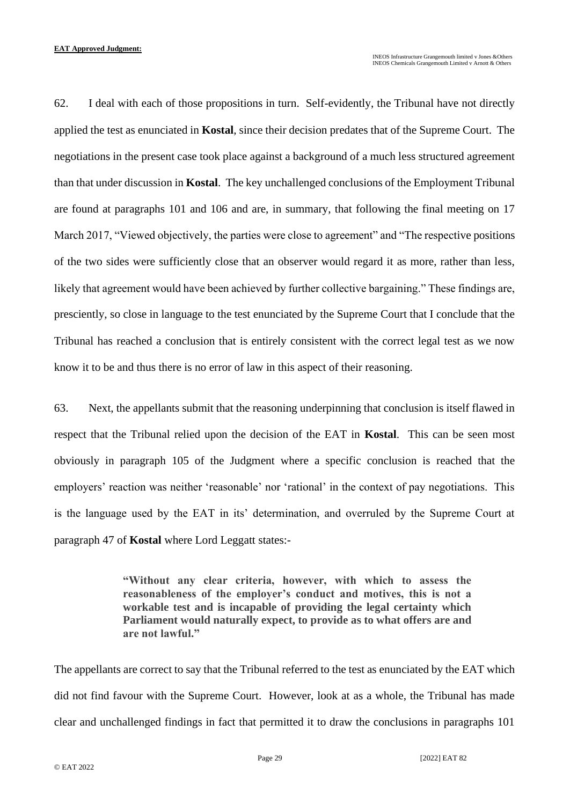62. I deal with each of those propositions in turn. Self-evidently, the Tribunal have not directly applied the test as enunciated in **Kostal**, since their decision predates that of the Supreme Court. The negotiations in the present case took place against a background of a much less structured agreement than that under discussion in **Kostal**. The key unchallenged conclusions of the Employment Tribunal are found at paragraphs 101 and 106 and are, in summary, that following the final meeting on 17 March 2017, "Viewed objectively, the parties were close to agreement" and "The respective positions of the two sides were sufficiently close that an observer would regard it as more, rather than less, likely that agreement would have been achieved by further collective bargaining." These findings are, presciently, so close in language to the test enunciated by the Supreme Court that I conclude that the Tribunal has reached a conclusion that is entirely consistent with the correct legal test as we now know it to be and thus there is no error of law in this aspect of their reasoning.

63. Next, the appellants submit that the reasoning underpinning that conclusion is itself flawed in respect that the Tribunal relied upon the decision of the EAT in **Kostal**. This can be seen most obviously in paragraph 105 of the Judgment where a specific conclusion is reached that the employers' reaction was neither 'reasonable' nor 'rational' in the context of pay negotiations. This is the language used by the EAT in its' determination, and overruled by the Supreme Court at paragraph 47 of **Kostal** where Lord Leggatt states:-

> **"Without any clear criteria, however, with which to assess the reasonableness of the employer's conduct and motives, this is not a workable test and is incapable of providing the legal certainty which Parliament would naturally expect, to provide as to what offers are and are not lawful."**

The appellants are correct to say that the Tribunal referred to the test as enunciated by the EAT which did not find favour with the Supreme Court. However, look at as a whole, the Tribunal has made clear and unchallenged findings in fact that permitted it to draw the conclusions in paragraphs 101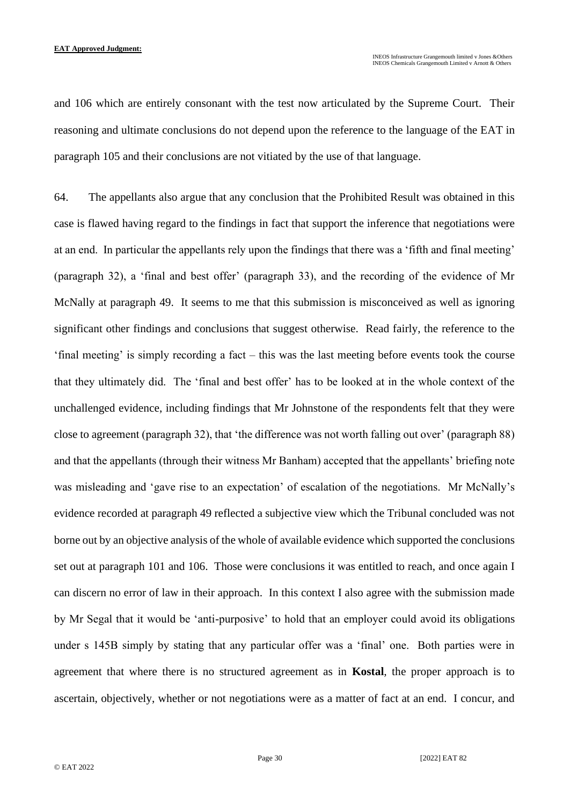and 106 which are entirely consonant with the test now articulated by the Supreme Court. Their reasoning and ultimate conclusions do not depend upon the reference to the language of the EAT in paragraph 105 and their conclusions are not vitiated by the use of that language.

64. The appellants also argue that any conclusion that the Prohibited Result was obtained in this case is flawed having regard to the findings in fact that support the inference that negotiations were at an end. In particular the appellants rely upon the findings that there was a 'fifth and final meeting' (paragraph 32), a 'final and best offer' (paragraph 33), and the recording of the evidence of Mr McNally at paragraph 49. It seems to me that this submission is misconceived as well as ignoring significant other findings and conclusions that suggest otherwise. Read fairly, the reference to the 'final meeting' is simply recording a fact – this was the last meeting before events took the course that they ultimately did. The 'final and best offer' has to be looked at in the whole context of the unchallenged evidence, including findings that Mr Johnstone of the respondents felt that they were close to agreement (paragraph 32), that 'the difference was not worth falling out over' (paragraph 88) and that the appellants (through their witness Mr Banham) accepted that the appellants' briefing note was misleading and 'gave rise to an expectation' of escalation of the negotiations. Mr McNally's evidence recorded at paragraph 49 reflected a subjective view which the Tribunal concluded was not borne out by an objective analysis of the whole of available evidence which supported the conclusions set out at paragraph 101 and 106. Those were conclusions it was entitled to reach, and once again I can discern no error of law in their approach. In this context I also agree with the submission made by Mr Segal that it would be 'anti-purposive' to hold that an employer could avoid its obligations under s 145B simply by stating that any particular offer was a 'final' one. Both parties were in agreement that where there is no structured agreement as in **Kostal**, the proper approach is to ascertain, objectively, whether or not negotiations were as a matter of fact at an end. I concur, and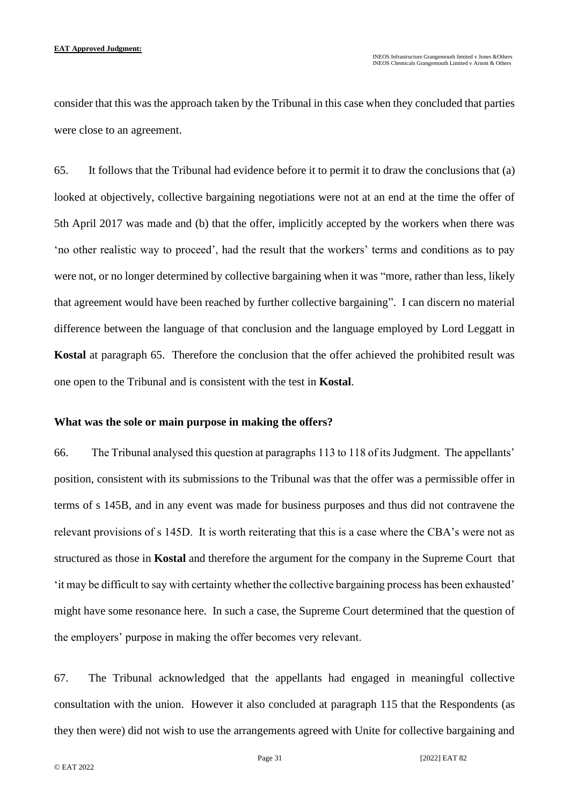consider that this was the approach taken by the Tribunal in this case when they concluded that parties were close to an agreement.

65. It follows that the Tribunal had evidence before it to permit it to draw the conclusions that (a) looked at objectively, collective bargaining negotiations were not at an end at the time the offer of 5th April 2017 was made and (b) that the offer, implicitly accepted by the workers when there was 'no other realistic way to proceed', had the result that the workers' terms and conditions as to pay were not, or no longer determined by collective bargaining when it was "more, rather than less, likely that agreement would have been reached by further collective bargaining". I can discern no material difference between the language of that conclusion and the language employed by Lord Leggatt in **Kostal** at paragraph 65. Therefore the conclusion that the offer achieved the prohibited result was one open to the Tribunal and is consistent with the test in **Kostal**.

#### **What was the sole or main purpose in making the offers?**

66. The Tribunal analysed this question at paragraphs 113 to 118 of its Judgment. The appellants' position, consistent with its submissions to the Tribunal was that the offer was a permissible offer in terms of s 145B, and in any event was made for business purposes and thus did not contravene the relevant provisions of s 145D. It is worth reiterating that this is a case where the CBA's were not as structured as those in **Kostal** and therefore the argument for the company in the Supreme Court that 'it may be difficult to say with certainty whether the collective bargaining process has been exhausted' might have some resonance here. In such a case, the Supreme Court determined that the question of the employers' purpose in making the offer becomes very relevant.

67. The Tribunal acknowledged that the appellants had engaged in meaningful collective consultation with the union. However it also concluded at paragraph 115 that the Respondents (as they then were) did not wish to use the arrangements agreed with Unite for collective bargaining and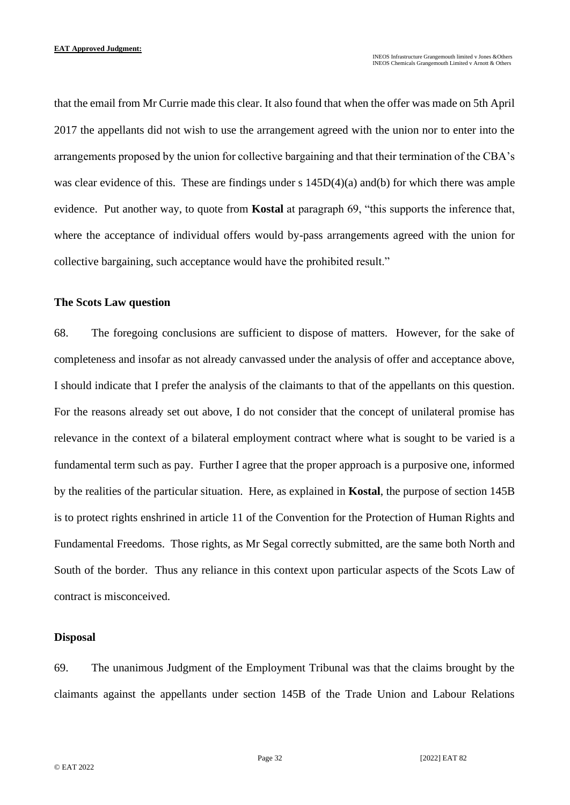that the email from Mr Currie made this clear. It also found that when the offer was made on 5th April 2017 the appellants did not wish to use the arrangement agreed with the union nor to enter into the arrangements proposed by the union for collective bargaining and that their termination of the CBA's was clear evidence of this. These are findings under s  $145D(4)(a)$  and(b) for which there was ample evidence. Put another way, to quote from **Kostal** at paragraph 69, "this supports the inference that, where the acceptance of individual offers would by-pass arrangements agreed with the union for collective bargaining, such acceptance would have the prohibited result."

#### **The Scots Law question**

68. The foregoing conclusions are sufficient to dispose of matters. However, for the sake of completeness and insofar as not already canvassed under the analysis of offer and acceptance above, I should indicate that I prefer the analysis of the claimants to that of the appellants on this question. For the reasons already set out above, I do not consider that the concept of unilateral promise has relevance in the context of a bilateral employment contract where what is sought to be varied is a fundamental term such as pay. Further I agree that the proper approach is a purposive one, informed by the realities of the particular situation. Here, as explained in **Kostal**, the purpose of section 145B is to protect rights enshrined in article 11 of the Convention for the Protection of Human Rights and Fundamental Freedoms. Those rights, as Mr Segal correctly submitted, are the same both North and South of the border. Thus any reliance in this context upon particular aspects of the Scots Law of contract is misconceived.

#### **Disposal**

69. The unanimous Judgment of the Employment Tribunal was that the claims brought by the claimants against the appellants under section 145B of the Trade Union and Labour Relations